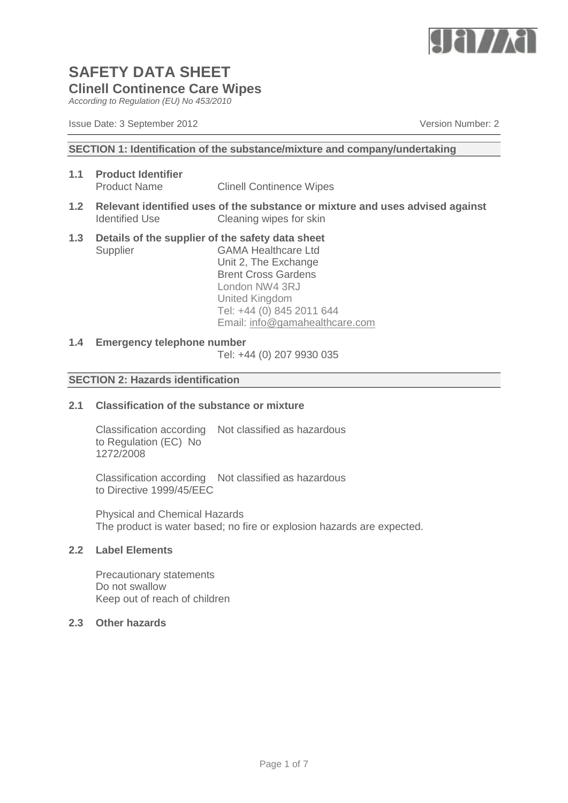

*According to Regulation (EU) No 453/2010*

Issue Date: 3 September 2012 Version Number: 2

#### **SECTION 1: Identification of the substance/mixture and company/undertaking**

- **1.1 Product Identifier Clinell Continence Wipes**
- **1.2 Relevant identified uses of the substance or mixture and uses advised against** Identified Use Cleaning wipes for skin
- **1.3 Details of the supplier of the safety data sheet** Supplier GAMA Healthcare Ltd Unit 2, The Exchange Brent Cross Gardens

London NW4 3RJ United Kingdom Tel: +44 (0) 845 2011 644 Email: [info@gamahealthcare.com](mailto:info@gamahealthcare.com)

#### **1.4 Emergency telephone number**

Tel: +44 (0) 207 9930 035

#### **SECTION 2: Hazards identification**

# **2.1 Classification of the substance or mixture**

Classification according Not classified as hazardous to Regulation (EC) No 1272/2008

Classification according Not classified as hazardous to Directive 1999/45/EEC

Physical and Chemical Hazards The product is water based; no fire or explosion hazards are expected.

# **2.2 Label Elements**

Precautionary statements Do not swallow Keep out of reach of children

# **2.3 Other hazards**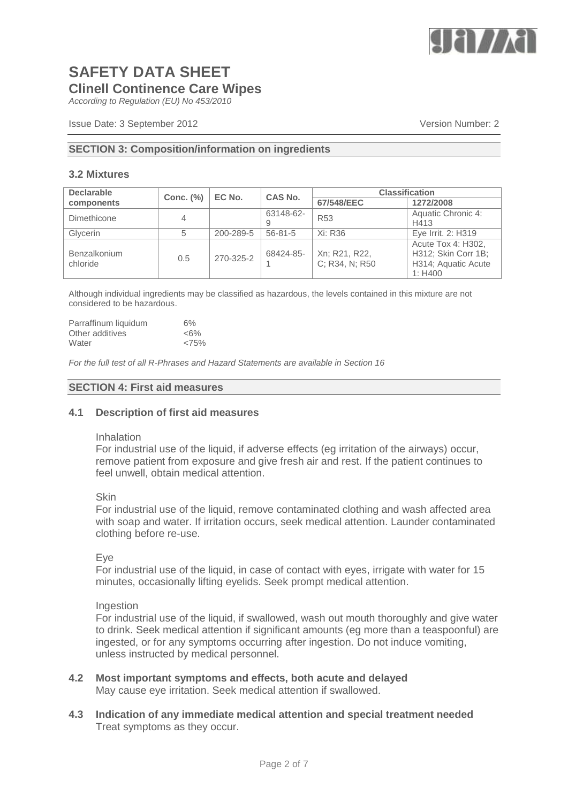

*According to Regulation (EU) No 453/2010*

### **SECTION 3: Composition/information on ingredients**

#### **3.2 Mixtures**

| <b>Declarable</b>        | Conc. $(\%)$ | EC No.    | <b>CAS No.</b> | <b>Classification</b>           |                                                                             |
|--------------------------|--------------|-----------|----------------|---------------------------------|-----------------------------------------------------------------------------|
| components               |              |           |                | 67/548/EEC                      | 1272/2008                                                                   |
| Dimethicone              | 4            |           | 63148-62-      | <b>R53</b>                      | Aquatic Chronic 4:                                                          |
|                          |              |           |                |                                 | H413                                                                        |
| Glycerin                 | 5            | 200-289-5 | $56 - 81 - 5$  | Xi: R36                         | Eye Irrit. 2: H319                                                          |
| Benzalkonium<br>chloride | 0.5          | 270-325-2 | 68424-85-      | Xn; R21, R22,<br>C; R34, N; R50 | Acute Tox 4: H302,<br>H312; Skin Corr 1B;<br>H314; Aquatic Acute<br>1: H400 |

Although individual ingredients may be classified as hazardous, the levels contained in this mixture are not considered to be hazardous.

| Parraffinum liquidum | 6%     |
|----------------------|--------|
| Other additives      | $<6\%$ |
| Water                | <75%   |

*For the full test of all R-Phrases and Hazard Statements are available in Section 16*

#### **SECTION 4: First aid measures**

#### **4.1 Description of first aid measures**

#### Inhalation

For industrial use of the liquid, if adverse effects (eg irritation of the airways) occur, remove patient from exposure and give fresh air and rest. If the patient continues to feel unwell, obtain medical attention.

#### **Skin**

For industrial use of the liquid, remove contaminated clothing and wash affected area with soap and water. If irritation occurs, seek medical attention. Launder contaminated clothing before re-use.

#### Eye

For industrial use of the liquid, in case of contact with eyes, irrigate with water for 15 minutes, occasionally lifting eyelids. Seek prompt medical attention.

#### Ingestion

For industrial use of the liquid, if swallowed, wash out mouth thoroughly and give water to drink. Seek medical attention if significant amounts (eg more than a teaspoonful) are ingested, or for any symptoms occurring after ingestion. Do not induce vomiting, unless instructed by medical personnel.

- **4.2 Most important symptoms and effects, both acute and delayed** May cause eye irritation. Seek medical attention if swallowed.
- **4.3 Indication of any immediate medical attention and special treatment needed** Treat symptoms as they occur.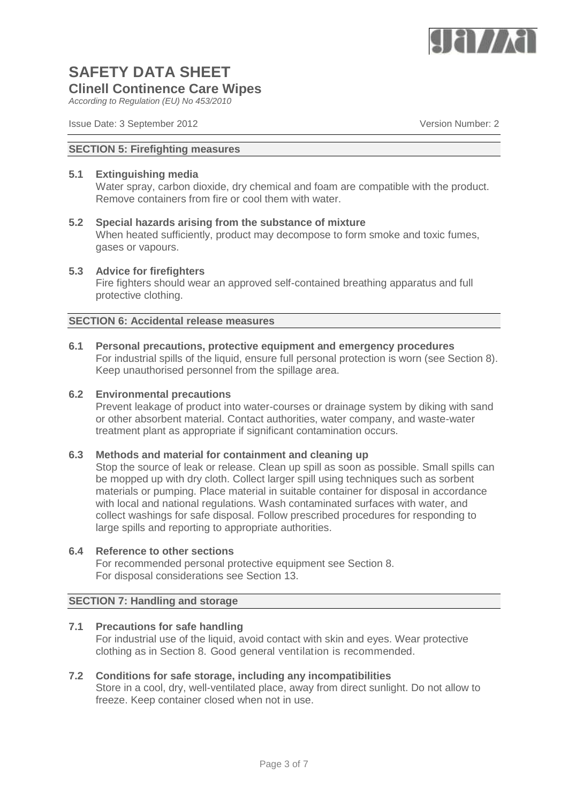

*According to Regulation (EU) No 453/2010*

Issue Date: 3 September 2012 Version Number: 2

#### **SECTION 5: Firefighting measures**

### **5.1 Extinguishing media**

Water spray, carbon dioxide, dry chemical and foam are compatible with the product. Remove containers from fire or cool them with water.

# **5.2 Special hazards arising from the substance of mixture**

When heated sufficiently, product may decompose to form smoke and toxic fumes, gases or vapours.

#### **5.3 Advice for firefighters**

Fire fighters should wear an approved self-contained breathing apparatus and full protective clothing.

#### **SECTION 6: Accidental release measures**

**6.1 Personal precautions, protective equipment and emergency procedures** For industrial spills of the liquid, ensure full personal protection is worn (see Section 8). Keep unauthorised personnel from the spillage area.

#### **6.2 Environmental precautions**

Prevent leakage of product into water-courses or drainage system by diking with sand or other absorbent material. Contact authorities, water company, and waste-water treatment plant as appropriate if significant contamination occurs.

# **6.3 Methods and material for containment and cleaning up**

Stop the source of leak or release. Clean up spill as soon as possible. Small spills can be mopped up with dry cloth. Collect larger spill using techniques such as sorbent materials or pumping. Place material in suitable container for disposal in accordance with local and national regulations. Wash contaminated surfaces with water, and collect washings for safe disposal. Follow prescribed procedures for responding to large spills and reporting to appropriate authorities.

#### **6.4 Reference to other sections**

For recommended personal protective equipment see Section 8. For disposal considerations see Section 13.

# **SECTION 7: Handling and storage**

### **7.1 Precautions for safe handling**

For industrial use of the liquid, avoid contact with skin and eyes. Wear protective clothing as in Section 8. Good general ventilation is recommended.

### **7.2 Conditions for safe storage, including any incompatibilities**

Store in a cool, dry, well-ventilated place, away from direct sunlight. Do not allow to freeze. Keep container closed when not in use.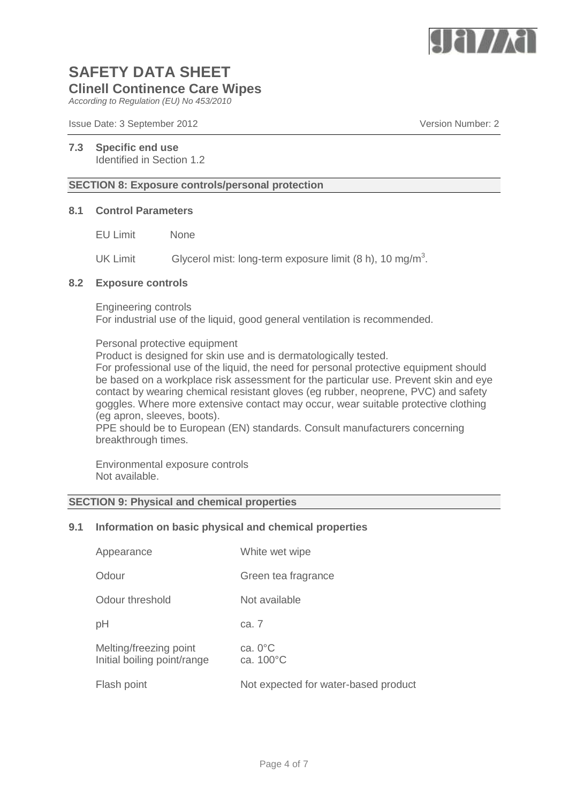

*According to Regulation (EU) No 453/2010*

Issue Date: 3 September 2012 Version Number: 2

#### **7.3 Specific end use** Identified in Section 1.2

### **SECTION 8: Exposure controls/personal protection**

#### **8.1 Control Parameters**

EU Limit None

UK Limit Glycerol mist: long-term exposure limit  $(8 h)$ , 10 mg/m<sup>3</sup>.

#### **8.2 Exposure controls**

Engineering controls For industrial use of the liquid, good general ventilation is recommended.

Personal protective equipment

Product is designed for skin use and is dermatologically tested.

For professional use of the liquid, the need for personal protective equipment should be based on a workplace risk assessment for the particular use. Prevent skin and eye contact by wearing chemical resistant gloves (eg rubber, neoprene, PVC) and safety goggles. Where more extensive contact may occur, wear suitable protective clothing (eg apron, sleeves, boots).

PPE should be to European (EN) standards. Consult manufacturers concerning breakthrough times.

Environmental exposure controls Not available.

# **SECTION 9: Physical and chemical properties**

#### **9.1 Information on basic physical and chemical properties**

| Appearance                                            | White wet wipe                       |
|-------------------------------------------------------|--------------------------------------|
| Odour                                                 | Green tea fragrance                  |
| Odour threshold                                       | Not available                        |
| рH                                                    | ca. 7                                |
| Melting/freezing point<br>Initial boiling point/range | ca. $0^{\circ}$ C<br>ca. 100°C       |
| Flash point                                           | Not expected for water-based product |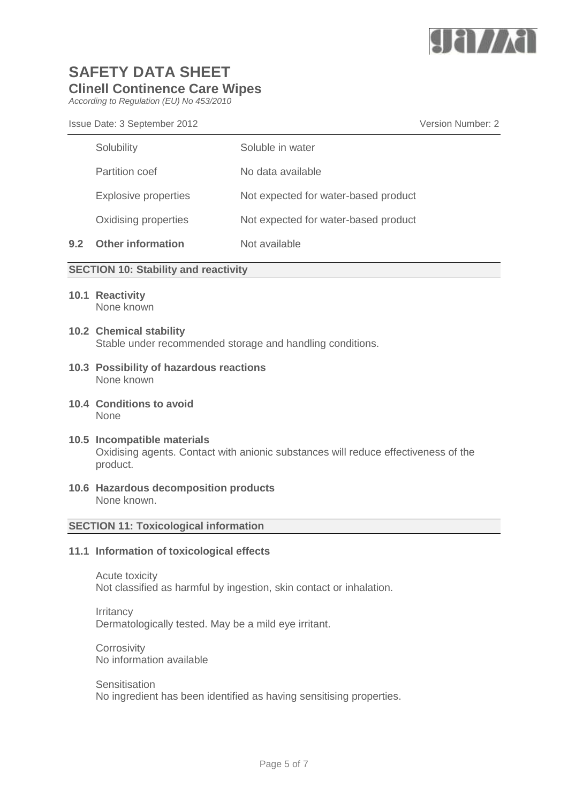

*According to Regulation (EU) No 453/2010*

Issue Date: 3 September 2012 Version Number: 2

|     | Solubility               | Soluble in water                     |
|-----|--------------------------|--------------------------------------|
|     | <b>Partition coef</b>    | No data available                    |
|     | Explosive properties     | Not expected for water-based product |
|     | Oxidising properties     | Not expected for water-based product |
| 9.2 | <b>Other information</b> | Not available                        |

# **SECTION 10: Stability and reactivity**

- **10.1 Reactivity** None known
- **10.2 Chemical stability** Stable under recommended storage and handling conditions.
- **10.3 Possibility of hazardous reactions** None known
- **10.4 Conditions to avoid** None

#### **10.5 Incompatible materials** Oxidising agents. Contact with anionic substances will reduce effectiveness of the product.

**10.6 Hazardous decomposition products** None known.

#### **SECTION 11: Toxicological information**

### **11.1 Information of toxicological effects**

Acute toxicity Not classified as harmful by ingestion, skin contact or inhalation.

**Irritancy** Dermatologically tested. May be a mild eye irritant.

**Corrosivity** No information available

# **Sensitisation**

No ingredient has been identified as having sensitising properties.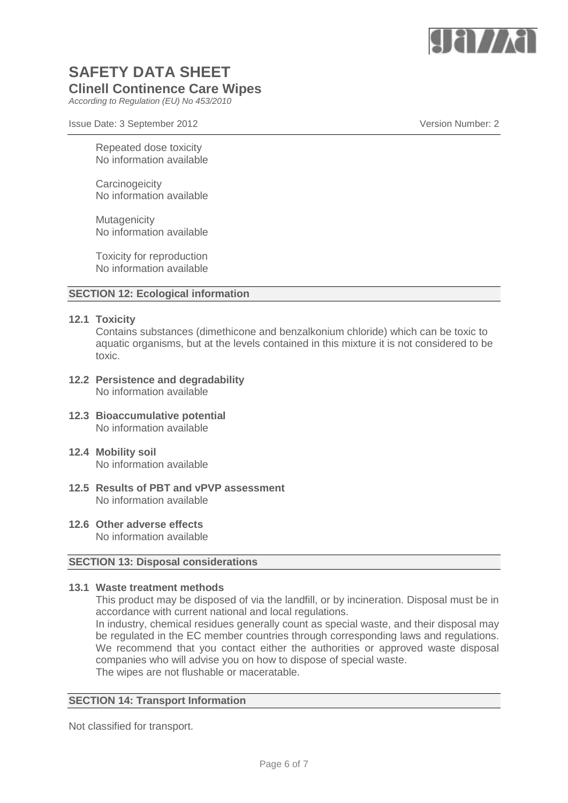

*According to Regulation (EU) No 453/2010*

Issue Date: 3 September 2012 Version Number: 2

Repeated dose toxicity No information available

**Carcinogeicity** No information available

**Mutagenicity** No information available

Toxicity for reproduction No information available

# **SECTION 12: Ecological information**

#### **12.1 Toxicity**

Contains substances (dimethicone and benzalkonium chloride) which can be toxic to aquatic organisms, but at the levels contained in this mixture it is not considered to be toxic.

- **12.2 Persistence and degradability** No information available
- **12.3 Bioaccumulative potential** No information available
- **12.4 Mobility soil** No information available
- **12.5 Results of PBT and vPVP assessment** No information available
- **12.6 Other adverse effects** No information available

#### **SECTION 13: Disposal considerations**

### **13.1 Waste treatment methods**

This product may be disposed of via the landfill, or by incineration. Disposal must be in accordance with current national and local regulations.

In industry, chemical residues generally count as special waste, and their disposal may be regulated in the EC member countries through corresponding laws and regulations. We recommend that you contact either the authorities or approved waste disposal companies who will advise you on how to dispose of special waste. The wipes are not flushable or maceratable.

#### **SECTION 14: Transport Information**

Not classified for transport.